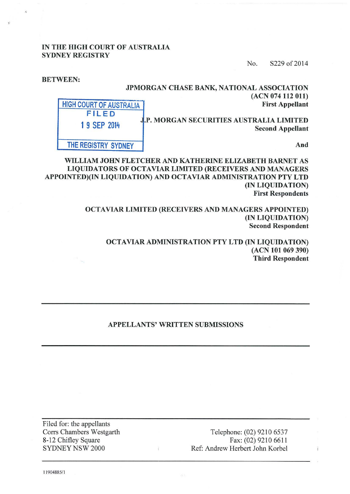## IN THE HIGH COURT OF AUSTRALIA SYDNEY REGISTRY

BETWEEN:

No. S229 of 2014

| JPMORGAN CHASE BANK, NATIONAL ASSOCIATION<br>(ACN 074 112 011)<br><b>First Appellant</b><br>J.P. MORGAN SECURITIES AUSTRALIA LIMITED<br><b>Second Appellant</b> | <b>HIGH COURT OF AUSTRALIA</b><br>FILED<br>1 9 SEP 2014 |
|-----------------------------------------------------------------------------------------------------------------------------------------------------------------|---------------------------------------------------------|
| And                                                                                                                                                             | THE REGISTRY SYDNEY                                     |

WILLIAM JOHN FLETCHER AND KATHERINE ELIZABETH BARNET AS LIQUIDATORS OF OCTAVIAR LIMITED (RECEIVERS AND MANAGERS APPOINTED)(IN LIQUIDATION) AND OCTA VIAR ADMINISTRATION PTY LTD (IN LIQUIDATION) First Respondents

> OCTA VIAR LIMITED (RECEIVERS AND MANAGERS APPOINTED) (IN LIQUIDATION) Second Respondent

OCTAVIAR ADMINISTRATION PTY LTD (IN LIQUIDATION) (ACN 101 069 390) Third Respondent

# APPELLANTS' WRITTEN SUBMISSIONS

Filed for: the appellants Corrs Chambers Westgarth 8-12 Chifley Square SYDNEY NSW 2000

Telephone: (02) 9210 6537 Fax: (02) 9210 6611 Ref: Andrew Herbert John Korbel

Ť

11904885/1

 $\ddot{i}$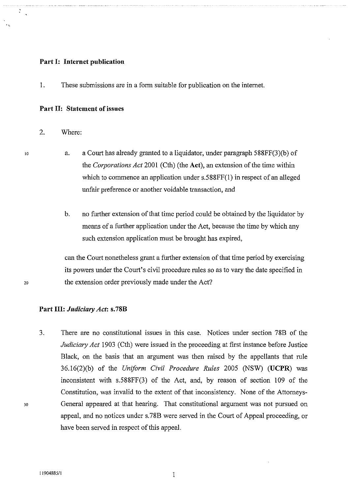#### **Part I: Internet publication**

1. These submissions are in a form suitable for publication on the internet.

#### **Part II: Statement of issues**

2. Where:

10

.,

 $\ddot{\cdot}$ 

- a. a Court has already granted to a liquidator, under paragraph 588FF(3)(b) of the *Corporations Act* 2001 (Cth) (the **Act),** an extension of the time within which to commence an application under s.588FF(1) in respect of an alleged unfair preference or another voidable transaction, and
	- b. no further extension of that time period could be obtained by the liquidator by means of a further application under the Act, because the time by which any such extension application must be brought has expired,

can the Court nonetheless grant a further extension of that time period by exercising its powers under the Court's civil procedure rules so as to vary the date specified in the extension order previously made under the Act?

#### **Part III:** *Judiciary Act:* **s.78B**

3. There are no constitutional issues in this case. Notices under section 78B of the *Judiciary Act* 1903 (Cth) were issued in the proceeding at first instance before Justice Black, on the basis that an argument was then raised by the appellants that rule 36.l6(2)(b) of the *Uniform Civil Procedure Rules* 2005 (NSW) **(UCPR)** was inconsistent with  $s.588FF(3)$  of the Act, and, by reason of section 109 of the Constitution, was invalid to the extent of that inconsistency. None of the Attorneys-General appeared at that hearing. That constitutional argument was not pursued on appeal, and no notices under s. 78B were served in the Court of Appeal proceeding, or have been served in respect of this appeaL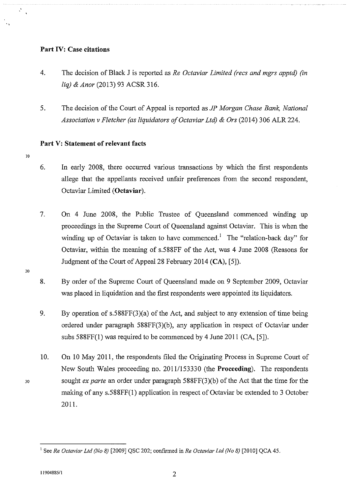## **Part IV: Case citations**

- 4. The decision of Black J is reported as *Re Octaviar Limited (recs and mgrs apptd) (in liq)* & *Anor* (2013) 93 ACSR 316.
- 5. The decision of the Court of Appeal is reported as *JP Morgan Chase Bank, National*  Association v Fletcher (as liquidators of Octaviar Ltd) & Ors (2014) 306 ALR 224.

# **Part V: Statement of relevant facts**

10

.,

 $\mathcal{L}$  $\mathcal{A}$ 

- 6. In early 2008, there occurred various transactions by which the first respondents allege that the appellants received unfair preferences from the second respondent, Octaviar Limited **(Octaviar).**
- 7. On 4 June 2008, the Public Trustee of Queensland commenced winding up proceedings in the Supreme Court of Queensland against Octaviar. This is when the winding up of Octaviar is taken to have commenced.<sup>1</sup> The "relation-back day" for Octaviar, within the meaning of s.588FF of the Act, was 4 June 2008 (Reasons for Judgment of the Court of Appeal28 February 2014 **(CA),** [5]).
- 8. By order of the Supreme Court of Queensland made on 9 September 2009, Octaviar was placed in liquidation and the first respondents were appointed its liquidators.
- 9. By operation of s.588FF(3)(a) of the Act, and subject to any extension of time being ordered under paragraph 588FF(3)(b), any application in respect of Octaviar under subs 588FF(l) was required to be commenced by 4 June 2011 (CA, [5]).
- 10. On 10 May 2011, the respondents filed the Originating Process in Supreme Court of New South Wales proceeding no. 20111153330 (the **Proceeding).** The respondents sought *ex parte* an order under paragraph 588FF(3)(b) of the Act that the time for the making of any  $s.588FF(1)$  application in respect of Octaviar be extended to 3 October 2011.

<sup>1</sup> See *Re Octaviar Ltd (No 8)* [2009] QSC 202; confirmed in *Re Octaviar Ltd (No 8)* [2010] QCA 45.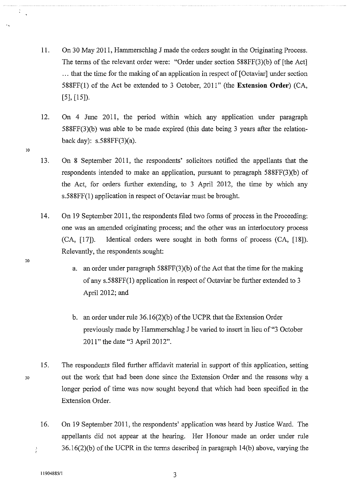- 11. On 30 May 2011, Hammerschlag J made the orders sought in the Originating Process. The terms of the relevant order were: "Order under section 588FF(3)(b) of [the Act] ... that the time for the making of an application in respect of [Octaviar] under section 588FF(l) of the Act be extended to 3 October, 2011" (the **Extension Order)** (CA, [5], [15]).
- 12. On 4 June 2011, the period within which any application under paragraph 588FF(3)(b) was able to be made expired (this date being 3 years after the relationback day): s.588FF(3)(a).
- 13. On 8 September 2011, the respondents' solicitors notified the appellants that the respondents intended to make an application, pursuant to paragraph 588FF(3)(b) of the Act, for orders further extending, to 3 April 2012, the time by which any s.588FF(l) application in respect of Octaviar must be brought.
- 14. On 19 September 2011, the respondents filed two forms of process in the Proceeding: one was an amended originating process; and the other was an interlocutory process (CA, [17]). Identical orders were sought in both forms of process (CA, [18]). Relevantly, the respondents sought:
	- a. an order under paragraph 588FF(3)(b) of the Act that the time for the making of any  $s.588FF(1)$  application in respect of Octaviar be further extended to 3 April 2012; and
	- b. an order under rule 36.16(2)(b) of the UCPR that the Extension Order previously made by Hammerschlag J be varied to insert in lieu of"3 October 2011" the date "3 April 2012".
- 15. The respondents filed further affidavit material in support of this application, setting out the work that had been done since the Extension Order and the reasons why a longer period of time was now sought beyond that which had been specified in the Extension Order.
- 16. On 19 September 2011, the respondents' application was heard by Justice Ward. The appellants did not appear at the hearing. Her Honour made an order under rule  $36.16(2)(b)$  of the UCPR in the terms described in paragraph  $14(b)$  above, varying the ÷.

20

30

10

 $\frac{8}{3}$ 

 $11904885/1$  3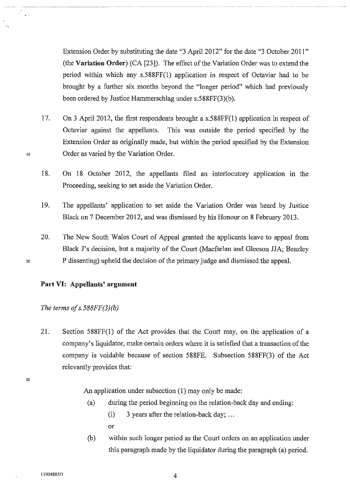Extension Order by substituting the date "3 April 2012" for the date "3 October 2011" (the **Variation Order)** (CA [23]). The effect of the Variation Order was to extend the period within which any s.588FF(1) application in respect of Octaviar had to be brought by a further six months beyond the "longer period" which had previously been ordered by Justice Hammerschlag under s.588FF(3)(b).

- 17. On 3 April 2012, the first respondents brought a s.588FF(l) application in respect of Octaviar against the appellants. This was outside the period specified by the Extension Order as originally made, but within the period specified by the Extension Order as varied by the Variation Order.
- 18. On 18 October 2012, the appellants filed an interlocutory application in the Proceeding, seeking to set aside the Variation Order.
- 19. The appellants' application to set aside the Variation Order was heard by Justice Black on 7 December 2012, and was dismissed by his Honour on 8 February 2013.
- 20. The New South Wales Court of Appeal granted the applicants leave to appeal from Black J's decision, but a majority of the Court (Macfarlan and Gleeson JJA; Beazley P dissenting) upheld the decision of the primary judge and dismissed the appeal.

#### 20

10

### **Part VI: Appellants' argument**

*The terms ofs.588FF(3)(b)* 

21. Section 588FF(1) of the Act provides that the Court may, on the application of a company's liquidator, make certain orders where it is satisfied that a transaction of the company is voidable because of section 588FE. Subsection 588FF(3) of the Act relevantly provides that:

30

An application under subsection (1) may only be made:

(a) during the period beginning on the relation-back day and ending:

(i) 3 years after the relation-back day; ... or

(b) within such longer period as the Court orders on an application under this paragraph made by the liquidator during the paragraph (a) period.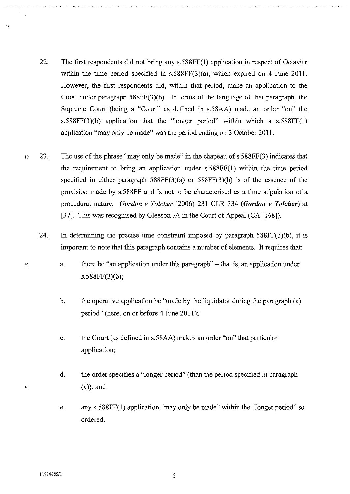- 22. The first respondents did not bring any s.588FF(1) application in respect of Octaviar within the time period specified in s.588FF(3)(a), which expired on 4 June 2011. However, the first respondents did, within that period, make an application to the Court under paragraph 588FF(3)(b). In terms of the language of that paragraph, the Supreme Court (being a "Court" as defined in s.58AA) made an order "on" the s.588FF(3)(b) application that the "longer period" within which a  $s.588FF(1)$ application "may only be made" was the period ending on 3 October 2011.
- 10 23. The use of the phrase "may only be made" in the chapeau of s.588FF(3) indicates that the requirement to bring an application under s.588FF(l) within the time period specified in either paragraph  $588FF(3)(a)$  or  $588FF(3)(b)$  is of the essence of the provision made by s.5 88FF and is not to be characterised as a time stipulation of a procedural nature: *Gordon v Tolcher* (2006) 231 CLR 334 *(Gordon v Tolcher)* at [37]. This was recognised by Gleeson JA in the Court of Appeal (CA [168]).
	- 24. In determining the precise time constraint imposed by paragraph 588FF(3)(b), it is important to note that this paragraph contains a number of elements. It requires that:
		- a. there be "an application under this paragraph" that is, an application under s.588FF(3)(b);
			- b. the operative application be "made by the liquidator during the paragraph (a) period" (here, on or before 4 June 2011);
			- c. the Court (as defined in s.58AA) makes an order "on" that particular application;
			- d. the order specifies a "longer period" (than the period specified in paragraph (a)); and
			- e. any s.588FF(l) application "may only be made" within the "longer period" so ordered.

20

30

.,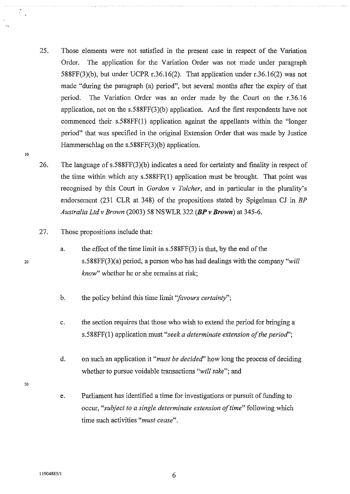- 25. Those elements were not satisfied in the present case in respect of the Variation Order. The application for the Variation Order was not made under paragraph 588FF(3)(b), but under UCPR r.36.16(2). That application under r.36.16(2) was not made "during the paragraph (a) period", but several months after the expiry of that period. The Variation Order was an order made by the Court on the r.36.16 application, not on the s.588FF(3)(b) application. And the first respondents have not commenced their s.588FF(l) application against the appellants within the "longer period" that was specified in the original Extension Order that was made by Justice Hammerschlag on the s.588FF(3)(b) application.
- 26. The language of s.588FF(3)(b) indicates a need for certainty and finality in respect of the time within which any s.588FF(l) application must be brought. That point was recognised by this Court in *Gordon v Tolcher,* and in particular in the plurality's endorsement (231 CLR at 348) of the propositions stated by Spigelman CJ in *BP Australia Ltd v Brown* (2003) 58 NSWLR 322 *(BP v Brown)* at 345-6.
- 27. Those propositions include that:
	- a. the effect of the time limit in s.588FF(3) is that, by the end of the s.588FF(3)(a) period, a person who has had dealings with the company *"will know"* whether he or she remains at risk;
	- b. the policy behind this time limit *"favours certainty";*
	- c. the section requires that those who wish to extend the period for bringing a s.588FF(l) application must *"seek a determinate extension of the period';*
	- d. on such an application it *"must be decided'* how long the process of deciding whether to pursue voidable transactions *"will take";* and
	- e. Parliament has identified a time for investigations or pursuit of funding to occur, *"subject to a single determinate extension of time"* following which time such activities *"must cease".*

20

10

 $\frac{1}{2}$  .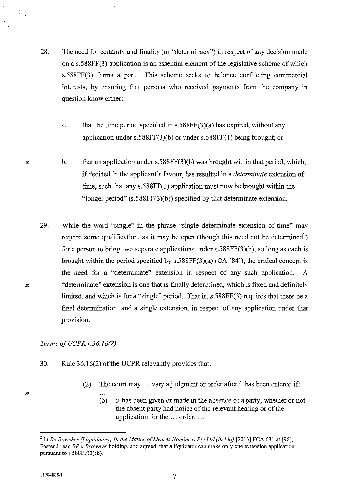- 28. The need for certainty and finality (or "determinacy") in respect of any decision made on a s.588FF(3) application is an essential element of the legislative scheme of which s.588FF(3) forms a part. This scheme seeks to balance conflicting commercial interests, by ensuring that persons who received payments from the company in question know either:
	- a. that the time period specified in s.588FF(3)(a) has expired, without any application under s.588FF(3)(b) or under s.588FF(l) being brought; or
	- b. that an application under s.588FF(3)(b) was brought within that period, which, if decided in the applicant's favour, has resulted in a *determinate* extension of time, such that any s.588FF(l) application must now be brought within the "longer period" (s.588FF(3)(b)) specified by that determinate extension.
- 29. While the word "single" in the phrase "single determinate extension of time" may require some qualification, as it may be open (though this need not be determined<sup>2</sup>) for a person to bring two separate applications under s.588FF(3)(b), so long as each is brought within the period specified by s.588FF(3)(a) (CA [84]), the critical concept is the need for a "determinate" extension in respect of any such application. A "determinate" extension is one that is finally determined, which is fixed and definitely limited, and which is for a "single" period. That is, s.588FF(3) requires that there be a final determination, and a single extension, in respect of any application under that provision.

# *Terms ofUCPR r.36.16(2)*

- 30. Rule 36.16(2) of the UCPR relevantly provides that:
	- (2) The court may ... vary a judgment or order after it has been entered if:
		- (b) it has been given or made in the absence of a party, whether or not the absent party had notice of the relevant hearing or of the application for the ... order, ...

20

30

10

 $\ddot{\cdot}$ 

<sup>&</sup>lt;sup>2</sup> In *Re Bowcher (Liquidator); In the Matter of Meares Nominees Pty Ltd (In Liq)* [2013] FCA 631 at [96], Foster J read *BP v Brown* as holding, and agreed, that a liquidator can make only one extension application pursuant to s 588FF(3)(b).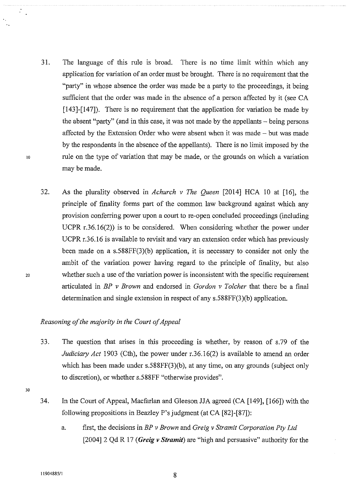- 31. The language of this rule is broad. There is no time limit within which any application for variation of an order must be brought. There is no requirement that the "party" in whose absence the order was made be a party to the proceedings, it being sufficient that the order was made in the absence of a person affected by it (see CA [143]-[147]). There is no requirement that the application for variation be made by the absent "party" (and in this case, it was not made by the appellants – being persons affected by the Extension Order who were absent when it was made - but was made by the respondents in the absence of the appellants). There is no limit imposed by the rule on the type of variation that may be made, or the grounds on which a variation maybe made.
- 32. As the plurality observed in *Achurch v The Queen* [2014] HCA 10 at [16], the principle of finality forms part of the common law background against which any provision conferring power upon a court to re-open concluded proceedings (including UCPR r.36.16(2)) is to be considered. When considering whether the power under UCPR r.36.16 is available to revisit and vary an extension order which has previously been made on a s.588FF(3)(b) application, it is necessary to consider not only the ambit of the variation power having regard to the principle of finality, but also whether such a use of the variation power is inconsistent with the specific requirement articulated in *BP v Brown* and endorsed in *Gordon v Tolcher* that there be a final determination and single extension in respect of any s.588FF(3)(b) application.

# *Reasoning of the majority in the Court of Appeal*

- 33. The question that arises in this proceeding is whether, by reason of s.79 of the *Judiciary Act* 1903 (Cth), the power under r.36.16(2) is available to amend an order which has been made under s.588FF(3)(b), at any time, on any grounds (subject only to discretion), or whether s.588FF "otherwise provides".
- 30

20

10

 $\mathcal{L}_{\mathcal{A}}$ 

- 34. In the Court of Appeal, Macfarlan and Gleeson JJA agreed (CA [149], [166]) with the following propositions in Beazley P's judgment (at CA [82]-[87]):
	- a. first, the decisions in *BP v Brown* and *Greig v Stramit Corporation Pty Ltd*  [2004] 2 Qd R 17 *(Greig v Stramit)* are "high and persuasive" authority for the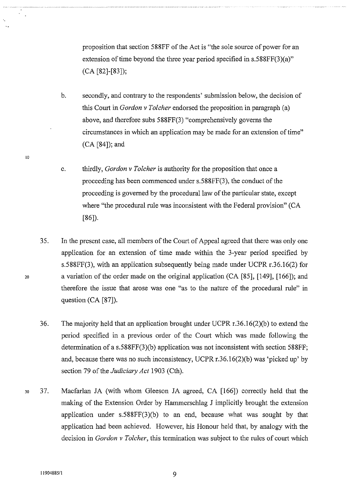proposition that section 588FF of the Act is "the sole source of power for an extension of time beyond the three year period specified in s.588FF(3)(a)" (CA [82]-[83]);

- b. secondly, and contrary to the respondents' submission below, the decision of this Court in *Gordon v Tolcher* endorsed the proposition in paragraph (a) above, and therefore subs 588FF(3) "comprehensively governs the circumstances in which an application may be made for an extension of time" (CA [84]); and
- c. thirdly, *Gordon v Tolcher* is authority for the proposition that once a proceeding has been commenced under s.588FF(3), the conduct of the proceeding is governed by the procedural law of the particular state, except where "the procedural rule was inconsistent with the Federal provision" (CA [86]).
- 35. In the present case, all members of the Court of Appeal agreed that there was only one application for an extension of time made within the 3-year period specified by s.588FF(3), with an application subsequently being made under UCPR r.36.16(2) for a variation of the order made on the original application (CA [85], [149], [166]); and therefore the issue that arose was one "as to the nature of the procedural rule" in question (CA [87]).

36. The majority held that an application brought under UCPR r.36.16(2)(b) to extend the period specified in a previous order of the Court which was made following the determination of a s.588FF(3)(b) application was not inconsistent with section 588FF; and, because there was no such inconsistency, UCPR r.36.16(2)(b) was 'picked up' by section 79 of the *Judiciary Act* 1903 (Cth).

30 37. Macfarlan JA (with whom Gleeson JA agreed, CA [166]) correctly held that the making of the Extension Order by Hammerschlag J implicitly brought the extension application under s.588FF(3)(b) to an end, because what was sought by that application had been achieved. However, his Honour held that, by analogy with the decision in *Gordon v Tolcher,* this termination was subject to the rules of court which

20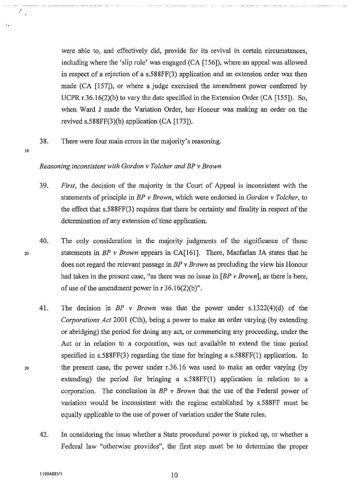were able to, and effectively did, provide for its revival in certain circumstances, including where the 'slip rule' was engaged (CA [156]), where an appeal was allowed in respect of a rejection of a s.588FF(3) application and an extension order was then made (CA [157]), or where a judge exercised the amendment power conferred by UCPR r.36.16(2)(b) to vary the date specified in the Extension Order (CA [155]). So, when Ward J made the Variation Order, her Honour was making an order on the revived s.588FF(3)(b) application (CA [173]).

38. There were four main errors in the majority's reasoning.

<u>ነስ</u>

 $\mathcal{L}_{\mathcal{A}}$ 

20

30

#### *Reasoning inconsistent with Gordon v Tolcher and BP v Brown*

- 39. *First,* the decision of the majority in the Court of Appeal is inconsistent with the statements of principle in *BP v Brown,* which were endorsed in *Gordon v Tolcher,* to the effect that s.588FF(3) requires that there be certainty and finality in respect of the determination of any extension of time application.
- 40. The only consideration in the majority judgments of the significance of those statements in *BP v Brown* appears in CA[l61]. There, Macfarlan JA states that he does not regard the relevant passage in *BP v Brown* as precluding the view his Honour had taken in the present case, "as there was no issue in [ *BP v Brown],* as there is here, of use of the amendment power in  $r 36.16(2)(b)$ ".
- 41. The decision in *BP v Brown* was that the power under s.1322(4)(d) of the *Corporations Act* 2001 (Cth), being a power to make an order varying (by extending or abridging) the period for doing any act, or commencing any proceeding, under the Act or in relation to a corporation, was not available to extend the time period specified in s.588FF(3) regarding the time for bringing a s.588FF(l) application. In the present case, the power under r.36.16 was used to make an order varying (by extending) the period for bringing a s.588FF(l) application in relation to a corporation. The conclusion in *BP v Brown* that the use of the Federal power of variation would be inconsistent with the regime established by s.588FF must be equally applicable to the use of power of variation under the State rules.
- 42. In considering the issue whether a State procedural power is picked up, or whether a Federal law "otherwise provides", the first step must be to determine the proper

 $11904885/1$   $10$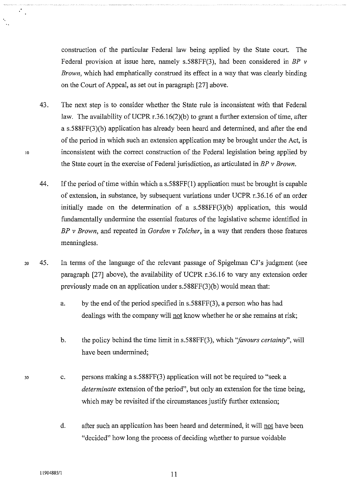construction of the particular Federal law being applied by the State court. The Federal provision at issue here, namely s.588FF(3), had been considered in *BP v Brown,* which had emphatically construed its effect in a way that was clearly binding on the Court of Appeal, as set out in paragraph [27] above.

- 43. The next step is to consider whether the State rule is inconsistent with that Federal law. The availability of UCPR  $r.36.16(2)(b)$  to grant a further extension of time, after a s.588FF(3)(b) application has already been heard and determined, and after the end of the period in which such an extension application may be brought under the Act, is inconsistent with the correct construction of the Federal legislation being applied by the State court in the exercise of Federal jurisdiction, as articulated in *BP v Brown*.
- 44. If the period of time within which a s.588FF(1) application must be brought is capable of extension, in substance, by subsequent variations under UCPR r.36.16 of an order initially made on the determination of a  $s.588FF(3)$ (b) application, this would fundamentally undermine the essential features of the legislative scheme identified in *BP v Brown,* and repeated in *Gordon v Tolcher,* in a way that renders those features meaningless.
- <sup>20</sup> 45. In terms of the language of the relevant passage of Spigelman CJ's judgment (see paragraph [27] above), the availability of UCPR r.36.16 to vary any extension order previously made on an application under s.588FF(3)(b) would mean that:
	- a. by the end of the period specified in s.588FF(3), a person who has had dealings with the company will not know whether he or she remains at risk;
	- b. the policy behind the time limit in s.588FF(3), which *"favours certainty",* will have been undermined;
	- c. persons making a s.588FF(3) application will not be required to "seek a *determinate* extension of the period", but only an extension for the time being, which may be revisited if the circumstances justify further extension;
		- d. after such an application has been heard and determined, it will not have been "decided" how long the process of deciding whether to pursue voidable

30

10

 $\mathcal{F}_\infty$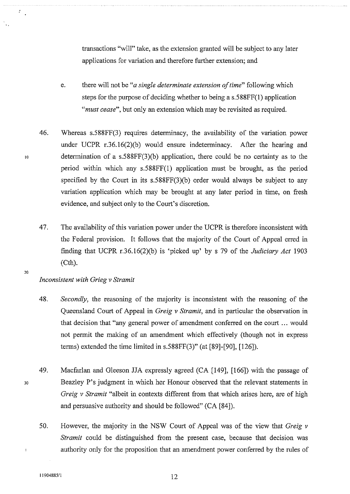transactions "will" take, as the extension granted will be subject to any later applications for variation and therefore further extension; and

- e. there will not be *"a single determinate extension of time"* following which steps for the purpose of deciding whether to being a s.588FF(l) application *"must cease",* but only an extension which may be revisited as required.
- 46. Whereas s.588FF(3) requires determinacy, the availability of the variation power under UCPR r.36.16(2)(b) would ensure indeterminacy. After the hearing and determination of a s.588FF(3)(b) application, there could be no certainty as to the period within which any s.588FF(1) application must be brought, as the period specified by the Court in its s.588FF(3)(b) order would always be subject to any variation application which may be brought at any later period in time, on fresh evidence, and subject only to the Court's discretion.
- 47. The availability of this variation power under the UCPR is therefore inconsistent with the Federal provision. It follows that the majority of the Court of Appeal erred in finding that UCPR r.36.16(2)(b) is 'picked up' by s 79 of the *Judiciary Act* 1903 (Cth).
- 20

30

10

 $\hat{Z}_{\rm eff}$ 

### *Inconsistent with Grieg v Stramit*

- 48. *Secondly,* the reasoning of the majority is inconsistent with the reasoning of the Queensland Court of Appeal in *Greig v Stramit,* and in particular the observation in that decision that "any general power of amendment conferred on the court ... would not permit the making of an amendment which effectively (though not in express terms) extended the time limited in s.588FF(3)" (at [89]-[90], [126]).
- 49. Macfarlan and Gleeson JJA expressly agreed (CA [149], [166]) with the passage of Beazley P's judgment in which her Honour observed that the relevant statements in *Greig v Stramit* "albeit in contexts different from that which arises here, are of high and persuasive authority and should be followed" (CA [84]).
	- 50. However, the majority in the NSW Court of Appeal was of the view that *Greig v Stramit* could be distinguished from the present case, because that decision was authority only for the proposition that an amendment power conferred by the rules of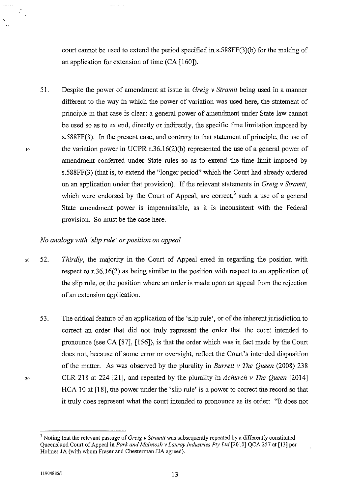court cannot be used to extend the period specified in s.588FF(3)(b) for the making of an application for extension of time (CA [160]).

51. Despite the power of amendment at issue in *Greig v Stramit* being used in a manner different to the way in which the power of variation was used here, the statement of principle in that case is clear: a general power of amendment under State law cannot be used so as to extend, directly or indirectly, the specific time limitation imposed by s.588FF(3). In the present case, and contrary to that statement of principle, the use of the variation power in UCPR r.36.16(2)(b) represented the use of a general power of amendment conferred under State rules so as to extend the time limit imposed by s.588FF(3) (that is, to extend the "longer period" which the Court had already ordered on an application under that provision). If the relevant statements in *Greig v Stramit*, which were endorsed by the Court of Appeal, are correct,<sup>3</sup> such a use of a general State amendment power is impermissible, as it is inconsistent with the Federal provision. So must be the case here.

### *No analogy with 'slip rule' or position on appeal*

- 20 52. *Thirdly,* the majority in the Court of Appeal erred in regarding the position with respect to r.36.16(2) as being similar to the position with respect to an application of the slip rule, or the position where an order is made upon an appeal from the rejection of an extension application.
	- 53. The critical feature of an application of the 'slip rule', or of the inherent jurisdiction to correct an order that did not truly represent the order that the court intended to pronounce (see CA [87], [156]), is that the order which was in fact made by the Court does not, because of some error or oversight, reflect the Court's intended disposition of the matter. As was observed by the plurality in *Burrell v The Queen* (2008) 238 CLR 218 at 224 [21], and repeated by the plurality in *Achurch v The Queen* [2014] HCA 10 at [18], the power under the 'slip rule' is a power to correct the record so that it truly does represent what the court intended to pronounce as its order: "It does not

30

10

 $\mathcal{L}_{\mathcal{A}}$ 

<sup>&</sup>lt;sup>3</sup> Noting that the relevant passage of *Greig v Stramit* was subsequently repeated by a differently constituted Queensland Court of Appeal in *Park and Mcintosh v Lanray Industries Pty Ltd* [2010] QCA 257 at [13] per Holmes JA (with whom Fraser and Chesterman JJA agreed).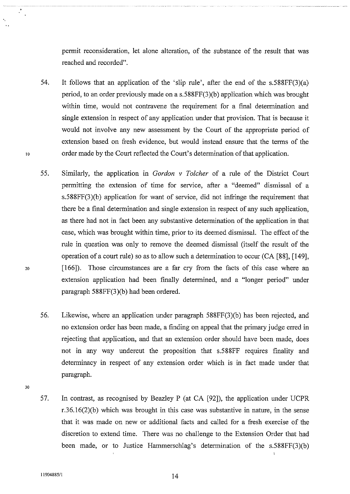permit reconsideration, let alone alteration, of the substance of the result that was reached and recorded".

- 54. It follows that an application of the 'slip rule', after the end of the s.588FF(3)(a) period, to an order previously made on a s.588FF(3)(b) application which was brought within time, would not contravene the requirement for a final determination and single extension in respect of any application under that provision. That is because it would not involve any new assessment by the Court of the appropriate period of extension based on fresh evidence, but would instead ensure that the terms of the order made by the Court reflected the Court's determination of that application.
- 55. Similarly, the application in *Gordon v Tolcher* of a rule of the District Court permitting the extension of time for service, after a "deemed" dismissal of a s.588FF(3)(b) application for want of service, did not infringe the requirement that there be a final determination and single extension in respect of any such application, as there had not in fact been any substantive determination of the application in that case, which was brought within time, prior to its deemed dismissal. The effect of the rule in question was only to remove the deemed dismissal (itself the result of the operation of a court rule) so as to allow such a determination to occur (CA [88], [149], [166]). Those circumstances are a far cry from the facts of this case where an extension application had been finally determined, and a "longer period" under paragraph 588FF(3)(b) had been ordered.
- 56. Likewise, where an application under paragraph 588FF(3)(b) has been rejected, and no extension order has been made, a finding on appeal that the primary judge erred in rejecting that application, and that an extension order should have been made, does not in any way undercut the proposition that s.588FF requires finality and determinacy in respect of any extension order which is in fact made under that paragraph.
- 30

10

20

57. In contrast, as recognised by Beazley P (at CA [92]), the application under UCPR r.36.l6(2)(b) which was brought in this case was substantive in nature, in the sense that it was made on new or additional facts and called for a fresh exercise of the discretion to extend time. There was no challenge to the Extension Order that had been made, or to Justice Hammerschlag's determination of the s.588FF(3)(b)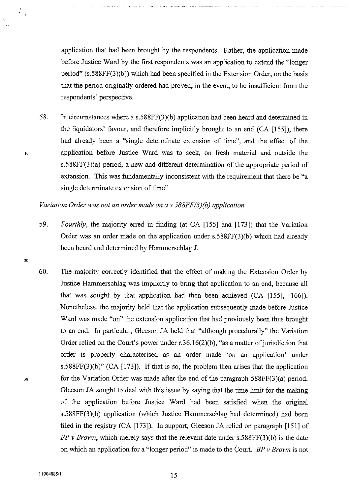application that had been brought by the respondents. Rather, the application made before Justice Ward by the first respondents was an application to extend the "longer period" (s.588FF(3)(b)) which had been specified in the Extension Order, on the basis that the period originally ordered had proved, in the event, to be insufficient from the respondents' perspective.

58. In circumstances where a s.588FF(3)(b) application had been heard and determined in the liquidators' favour, and therefore implicitly brought to an end (CA [155]), there had already been a "single determinate extension of time", and the effect of the application before Justice Ward was to seek, on fresh material and outside the s.588FF(3)(a) period, a new and different determination of the appropriate period of extension. This was fundamentally inconsistent with the requirement that there be "a single determinate extension of time".

### *Variation Order was not an order made on a s.588FF(3)(b) application*

- 59. *Fourthly*, the majority erred in finding (at CA [155] and [173]) that the Variation Order was an order made on the application under s.588FF(3)(b) which had already been heard and determined by Hammerschlag J.
- 60. The majority correctly identified that the effect of making the Extension Order by Justice Hammerschlag was implicitly to bring that application to an end, because all that was sought by that application had then been achieved (CA [155], [166]). Nonetheless, the majority held that the application subsequently made before Justice Ward was made "on" the extension application that had previously been thus brought to an end. In particular, Gleeson JA held that "although procedurally" the Variation Order relied on the Court's power under  $r.36.16(2)(b)$ , "as a matter of jurisdiction that order is properly characterised as an order made 'on an application' under s.588FF(3)(b)" (CA [173]). If that is so, the problem then arises that the application for the Variation Order was made after the end of the paragraph 588FF(3)(a) period. Gleeson JA sought to deal with this issue by saying that the time limit for the making of the application before Justice Ward had been satisfied when the original s.588FF(3)(b) application (which Justice Hammerschlag had determined) had been filed in the registry (CA [173]). In support, Gleeson JA relied on paragraph [151] of *BP v Brown,* which merely says that the relevant date under s.588FF(3)(b) is the date on which an application for a "longer period" is made to the Court. *BP v Brown* is not

20

10

 $\mathbf{A}$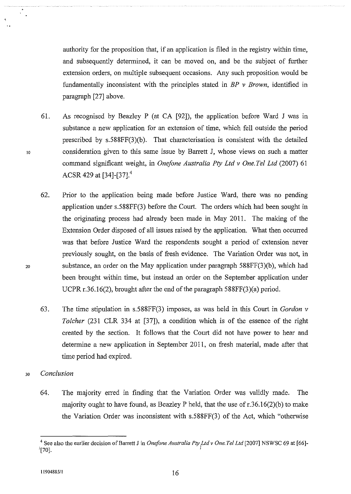authority for the proposition that, if an application is filed in the registry within time, and subsequently determined, it can be moved on, and be the subject of further extension orders, on multiple subsequent occasions. Any such proposition would be fundamentally inconsistent with the principles stated in *BP v Brown,* identified in paragraph [27] above.

- 61. As recognised by Beazley P (at CA [92]), the application before Ward J was in substance a new application for an extension of time, which fell outside the period prescribed by s.588FF(3)(b). That characterisation is consistent with the detailed consideration given to this same issue by Barrett J, whose views on such a matter command significant weight, in *Onefone Australia Pty Ltd v One. Tel Ltd* (2007) 61 ACSR 429 at [34]-[37].<sup>4</sup>
- 62. Prior to the application being made before Justice Ward, there was no pending application under s.588FF(3) before the Court. The orders which had been sought in the originating process had already been made in May 2011. The making of the Extension Order disposed of all issues raised by the application. What then occuned was that before Justice Ward the respondents sought a period of extension never previously sought, on the basis of fresh evidence. The Variation Order was not, in substance, an order on the May application under paragraph 588FF(3)(b), which had been brought within time, but instead an order on the September application under UCPR r.36.16(2), brought after the end of the paragraph 588FF(3)(a) period.
- 63. The time stipulation in s.588FF(3) imposes, as was held in this Court in *Gordon v Tolcher* (231 CLR 334 at [37]), a condition which is of the essence of the right created by the section. It follows that the Court did not have power to hear and determine a new application in September 2011, on fresh material, made after that time period had expired.
- Jo *Conclusion*

10

 $\sum_{i=1}^{N}$ 

20

64. The majority ened in finding that the Variation Order was validly made. The majority ought to have found, as Beazley P held, that the use of r.36.16(2)(b) to make the Variation Order was inconsistent with s.588FF(3) of the Act, which "otherwise

<sup>4</sup> See also the earlier decision of Barrett J in *Onefone Australia Pty Ltd* v *One. Tel Ltd* [2007] NSWSC 69 at [66]-  $\frac{1}{2}[70]$ .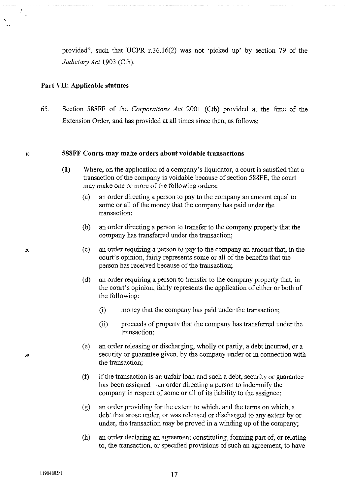provided", such that UCPR r.36.16(2) was not 'picked up' by section 79 of the *Judiciary Act* 1903 (Cth).

### **Part VII: Applicable statutes**

65. Section 588FF of the *Corporations Act* 2001 (Cth) provided at the time of the Extension Order, and has provided at all times since then, as follows:

#### **588FF Courts may make orders about voidable transactions**

- **(1)** Where, on the application of a company's liquidator, a court is satisfied that a transaction of the company is voidable because of section 588FE, the court may make one or more of the following orders:
	- (a) an order directing a person to pay to the company an amount equal to some or all of the money that the company has paid under the transaction;
	- (b) an order directing a person to transfer to the company property that the company has transferred under the transaction;
	- (c) an order requiring a person to pay to the company an amount that, in the court's opinion, fairly represents some or all of the benefits that the person has received because of the transaction;
	- (d) an order requiring a person to transfer to the company property that, in the court's opinion, fairly represents the application of either or both of the following:
		- (i) money that the company has paid under the transaction;
		- (ii) proceeds of property that the company has transferred under the transaction;
	- (e) an order releasing or discharging, wholly or partly, a debt incuned, or a security or guarantee given, by the company under or in connection with the transaction;
	- (f) if the transaction is an unfair loan and such a debt, security or guarantee has been assigned—an order directing a person to indemnify the company in respect of some or all of its liability to the assignee;
	- (g) an order providing for the extent to which, and the terms on which, a debt that arose under, or was released or discharged to any extent by or under, the transaction may be proved in a winding up of the company;
	- (h) an order declaring an agreement constituting, forming part of, or relating to, the transaction, or specified provisions of such an agreement, to have

20

10

•.

 $\frac{1}{2}$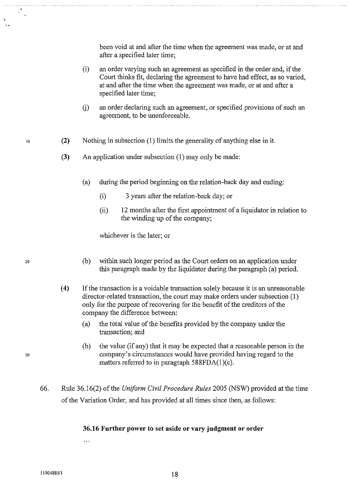been void at and after the time when the agreement was made, or at and after a specified later time;

- (i) an order varying such an agreement as specified in the order and, if the Court thinks fit, declaring the agreement to have had effect, as so varied, at and after the time when the agreement was made, or at and after a specified later time;
- G) an order declaring such an agreement, or specified provisions of such an agreement, to be unenforceable.
- **(2)**  Nothing in subsection (1) limits the generality of anything else in it.
- **(3)** An application under subsection (1) may only be made:
	- (a) during the period beginning on the relation-back day and ending:
		- (i) 3 years after the relation-back day; or
		- (ii) 12 months after the first appointment of a liquidator in relation to the winding up of the company;

whichever is the later; or

- (b) within such longer period as the Court orders on an application under this paragraph made by the liquidator during the paragraph (a) period.
- ( **4)** If the transaction is a voidable transaction solely because it is an unreasonable director-related transaction, the court may make orders under subsection (1) only for the purpose of recovering for the benefit of the creditors of the company the difference between:
	- (a) the total value of the benefits provided by the company under the transaction; and
	- (b) the value (if any) that it may be expected that a reasonable person in the company's circumstances would have provided having regard to the matters referred to in paragraph 588FDA(1)(c).
- 66. Rule 36.16(2) of the *Uniform Civil Procedure Rules* 2005 (NSW) provided at the time of the Variation Order, and has provided at all times since then, as follows:

### **36.16 Further power to set aside or vary judgment or order**

30

20

10

÷.

 $\overline{a}$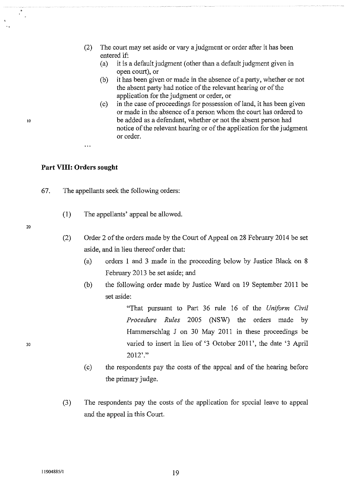- (2) The court may set aside or vary a judgment or order after it has been entered if:
	- (a) it is a default judgment (other than a default judgment given in open court), or
	- (b) it has been given or made in the absence of a party, whether or not the absent party had notice of the relevant hearing or of the application for the judgment or order, or
	- (c) in the case of proceedings for possession of land, it has been given or made in the absence of a person whom the court has ordered to be added as a defendant, whether or not the absent person had notice of the relevant hearing or of the application for the judgment or order.

### **Part VIII: Orders sought**

- 67. The appellants seek the following orders:
	- (1) The appellants' appeal be allowed.
- 20

10

- (2) Order 2 of the orders made by the Court of Appeal on 28 February 2014 be set aside, and in lieu thereof order that:
	- (a) orders 1 and 3 made in the proceeding below by Justice Black on 8 February 2013 be set aside; and
	- (b) the following order made by Justice Ward on 19 September 2011 be set aside:

"That pursuant to Part 36 rule 16 of the *Uniform Civil Procedure Rules* 2005 (NSW) the orders made by Hammerschlag J on 30 May 2011 in these proceedings be varied to insert in lieu of '3 October 2011 ', the date '3 April 2012' ."

- (c) the respondents pay the costs of the appeal and of the hearing before the primary judge.
- (3) The respondents pay the costs of the application for special leave to appeal and the appeal in this Court.